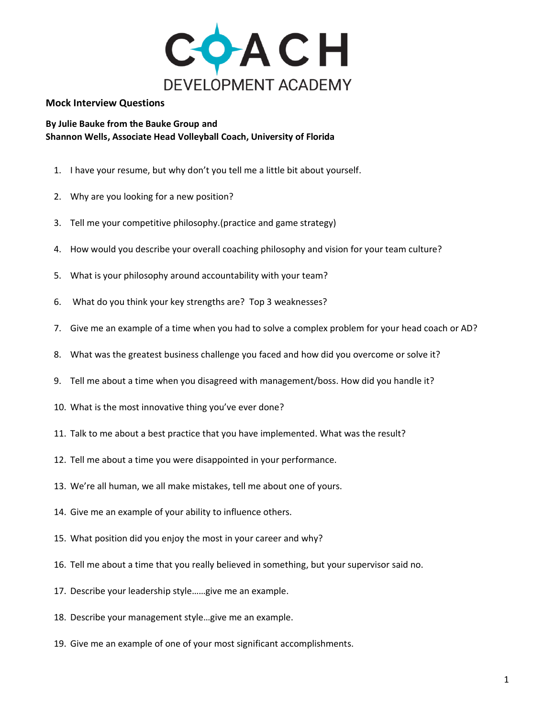

## **Mock Interview Questions**

## **By Julie Bauke from the Bauke Group and Shannon Wells, Associate Head Volleyball Coach, University of Florida**

- 1. I have your resume, but why don't you tell me a little bit about yourself.
- 2. Why are you looking for a new position?
- 3. Tell me your competitive philosophy.(practice and game strategy)
- 4. How would you describe your overall coaching philosophy and vision for your team culture?
- 5. What is your philosophy around accountability with your team?
- 6. What do you think your key strengths are? Top 3 weaknesses?
- 7. Give me an example of a time when you had to solve a complex problem for your head coach or AD?
- 8. What was the greatest business challenge you faced and how did you overcome or solve it?
- 9. Tell me about a time when you disagreed with management/boss. How did you handle it?
- 10. What is the most innovative thing you've ever done?
- 11. Talk to me about a best practice that you have implemented. What was the result?
- 12. Tell me about a time you were disappointed in your performance.
- 13. We're all human, we all make mistakes, tell me about one of yours.
- 14. Give me an example of your ability to influence others.
- 15. What position did you enjoy the most in your career and why?
- 16. Tell me about a time that you really believed in something, but your supervisor said no.
- 17. Describe your leadership style……give me an example.
- 18. Describe your management style…give me an example.
- 19. Give me an example of one of your most significant accomplishments.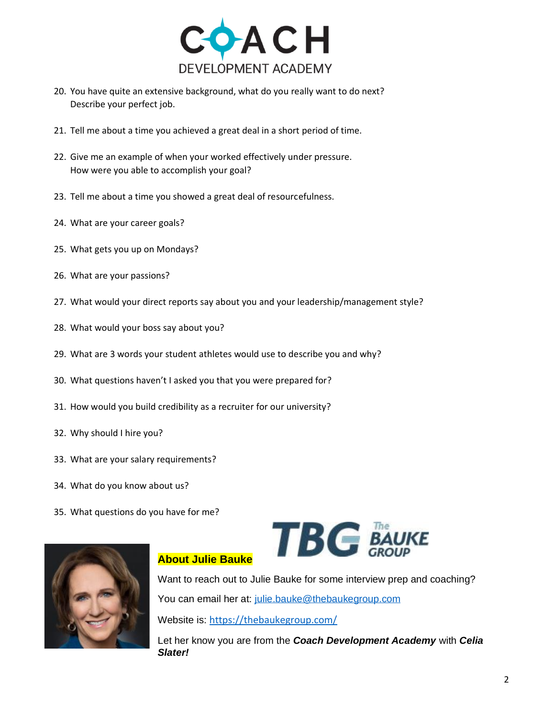

- 20. You have quite an extensive background, what do you really want to do next? Describe your perfect job.
- 21. Tell me about a time you achieved a great deal in a short period of time.
- 22. Give me an example of when your worked effectively under pressure. How were you able to accomplish your goal?
- 23. Tell me about a time you showed a great deal of resourcefulness.
- 24. What are your career goals?
- 25. What gets you up on Mondays?
- 26. What are your passions?
- 27. What would your direct reports say about you and your leadership/management style?
- 28. What would your boss say about you?
- 29. What are 3 words your student athletes would use to describe you and why?
- 30. What questions haven't I asked you that you were prepared for?
- 31. How would you build credibility as a recruiter for our university?
- 32. Why should I hire you?
- 33. What are your salary requirements?
- 34. What do you know about us?
- 35. What questions do you have for me?





## **About Julie Bauke**

Want to reach out to Julie Bauke for some interview prep and coaching? You can email her at: [julie.bauke@thebaukegroup.com](mailto:julie.bauke@thebaukegroup.com) Website is: <https://thebaukegroup.com/>

Let her know you are from the *Coach Development Academy* with *Celia Slater!*